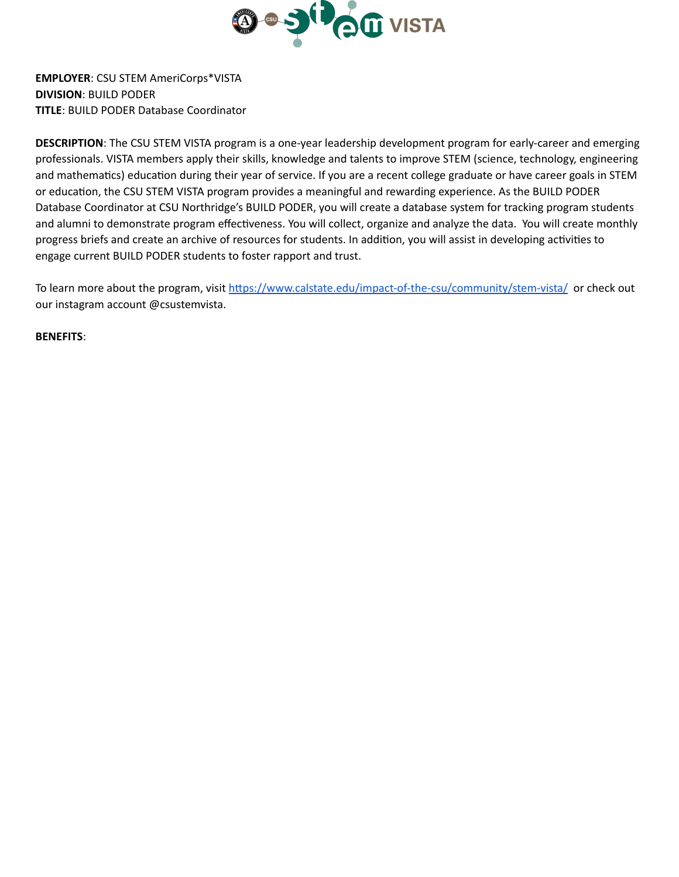

**EMPLOYER**: CSU STEM AmeriCorps\*VISTA **DIVISION**: BUILD PODER **TITLE**: BUILD PODER Database Coordinator

**DESCRIPTION**: The CSU STEM VISTA program is a one-year leadership development program for early-career and emerging professionals. VISTA members apply their skills, knowledge and talents to improve STEM (science, technology, engineering and mathematics) education during their year of service. If you are a recent college graduate or have career goals in STEM or education, the CSU STEM VISTA program provides a meaningful and rewarding experience. As the BUILD PODER Database Coordinator at CSU Northridge's BUILD PODER, you will create a database system for tracking program students and alumni to demonstrate program effectiveness. You will collect, organize and analyze the data. You will create monthly progress briefs and create an archive of resources for students. In addition, you will assist in developing activities to engage current BUILD PODER students to foster rapport and trust.

To learn more about the program, visit https://www.calstate.edu/impact-of-the-csu/community/stem-vista/ or check out our instagram account @csustemvista.

**BENEFITS**: